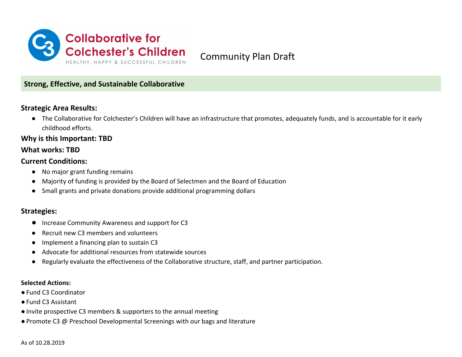

Community Plan Draft

# **Strong, Effective, and Sustainable Collaborative**

## **Strategic Area Results:**

● The Collaborative for Colchester's Children will have an infrastructure that promotes, adequately funds, and is accountable for it early childhood efforts.

### **Why is this Important: TBD**

### **What works: TBD**

### **Current Conditions:**

- No major grant funding remains
- Majority of funding is provided by the Board of Selectmen and the Board of Education
- Small grants and private donations provide additional programming dollars

### **Strategies:**

- **●** Increase Community Awareness and support for C3
- Recruit new C3 members and volunteers
- Implement a financing plan to sustain C3
- Advocate for additional resources from statewide sources
- Regularly evaluate the effectiveness of the Collaborative structure, staff, and partner participation.

#### **Selected Actions:**

- Fund C3 Coordinator
- ●Fund C3 Assistant
- ●Invite prospective C3 members & supporters to the annual meeting
- Promote C3 @ Preschool Developmental Screenings with our bags and literature